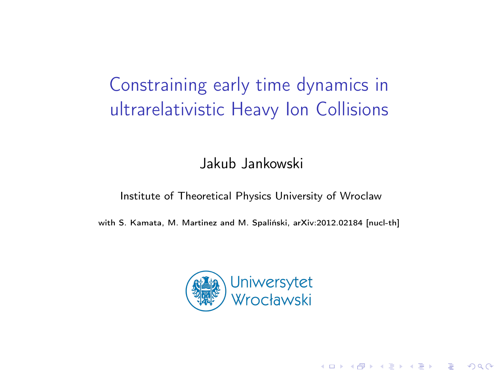# Constraining early time dynamics in ultrarelativistic Heavy Ion Collisions

Jakub Jankowski

#### Institute of Theoretical Physics University of Wroclaw

with S. Kamata, M. Martinez and M. Spaliński, arXiv:2012.02184 [nucl-th]



4 0 > 4 4 + 4 = > 4 = > = + + 0 4 0 +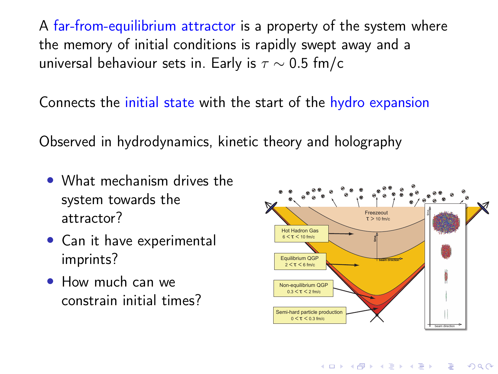A far-from-equilibrium attractor is a property of the system where the memory of initial conditions is rapidly swept away and a universal behaviour sets in. Early is  $\tau \sim 0.5$  fm/c

Connects the initial state with the start of the hydro expansion

Observed in hydrodynamics, kinetic theory and holography

- What mechanism drives the system towards the attractor?
- Can it have experimental imprints?
- How much can we constrain initial times?



**KORK STRAIN A BAR STRAKER**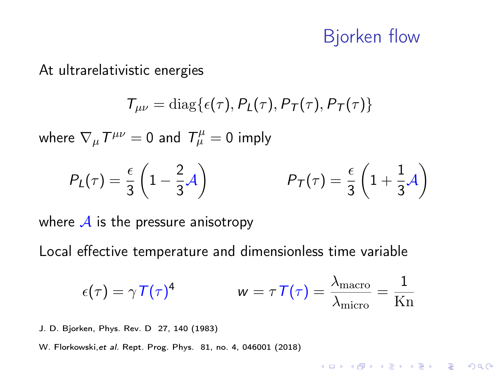#### Bjorken flow

**KORKA BRADE KORA** 

At ultrarelativistic energies

$$
T_{\mu\nu} = \text{diag}\{\epsilon(\tau), P_L(\tau), P_T(\tau), P_T(\tau)\}\
$$

where  $\nabla_\mu T^{\mu\nu}=0$  and  $T_\mu^\mu=0$  imply

$$
P_L(\tau) = \frac{\epsilon}{3} \left( 1 - \frac{2}{3} \mathcal{A} \right) \qquad P_T(\tau) = \frac{\epsilon}{3} \left( 1 + \frac{1}{3} \mathcal{A} \right)
$$

where  $\mathcal A$  is the pressure anisotropy

Local effective temperature and dimensionless time variable

$$
\epsilon(\tau) = \gamma \, \mathcal{T}(\tau)^4 \qquad \qquad w = \tau \, \mathcal{T}(\tau) = \frac{\lambda_{\text{macro}}}{\lambda_{\text{micro}}} = \frac{1}{\text{Kn}}
$$

J. D. Bjorken, Phys. Rev. D 27, 140 (1983)

W. Florkowski,et al. Rept. Prog. Phys. 81, no. 4, 046001 (2018)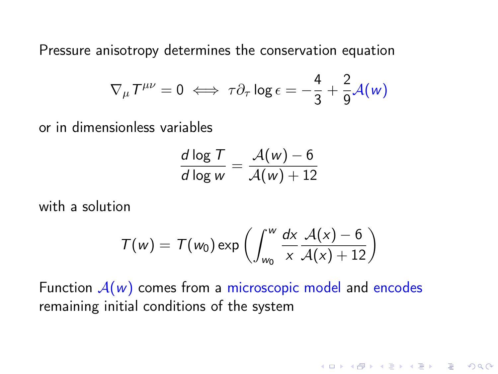Pressure anisotropy determines the conservation equation

$$
\nabla_{\mu} T^{\mu\nu} = 0 \iff \tau \partial_{\tau} \log \epsilon = -\frac{4}{3} + \frac{2}{9} \mathcal{A}(w)
$$

or in dimensionless variables

$$
\frac{d \log T}{d \log w} = \frac{\mathcal{A}(w) - 6}{\mathcal{A}(w) + 12}
$$

with a solution

$$
T(w) = T(w_0) \exp\left(\int_{w_0}^w \frac{dx}{x} \frac{A(x) - 6}{A(x) + 12}\right)
$$

**K ロ X K 레 X K 회 X X 회 X 및 X X X X X 전** 

Function  $A(w)$  comes from a microscopic model and encodes remaining initial conditions of the system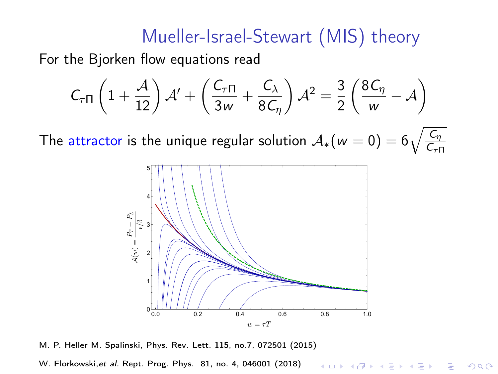### Mueller-Israel-Stewart (MIS) theory

For the Bjorken flow equations read

$$
C_{\tau\Pi}\left(1+\frac{\mathcal{A}}{12}\right)\mathcal{A}' + \left(\frac{C_{\tau\Pi}}{3w} + \frac{C_{\lambda}}{8C_{\eta}}\right)\mathcal{A}^{2} = \frac{3}{2}\left(\frac{8C_{\eta}}{w} - \mathcal{A}\right)
$$

The attractor is the unique regular solution  $\mathcal{A}_*(w=0) = 6\sqrt{\frac{C_{\eta}}{C_{\eta-1}}}$  $\mathsf{C}_{\tau\Pi}$ 



M. P. Heller M. Spalinski, Phys. Rev. Lett. 115, no.7, 072501 (2015)

W. Florkowski,et al. Rept. Prog. Phys. 81, no. 4, 046001 (2018)**KORK STRAIN A BAR STRAKER**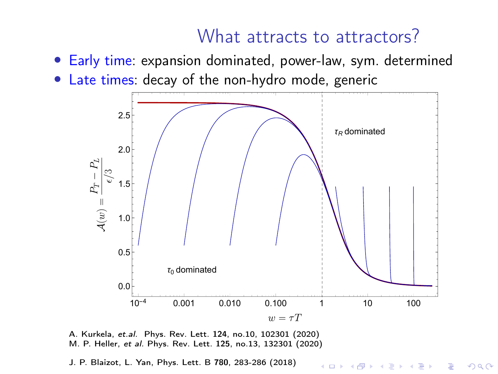#### What attracts to attractors?

**KORK STRAIN A BAR STRAKER** 



- Early time: expansion dominated, power-law, sym. determined
- Late times: decay of the non-hydro mode, generic

A. Kurkela, et.al. Phys. Rev. Lett. 124, no.10, 102301 (2020) M. P. Heller, et al. Phys. Rev. Lett. 125, no.13, 132301 (2020)

J. P. Blaizot, L. Yan, Phys. Lett. B 780, 283-286 (2018)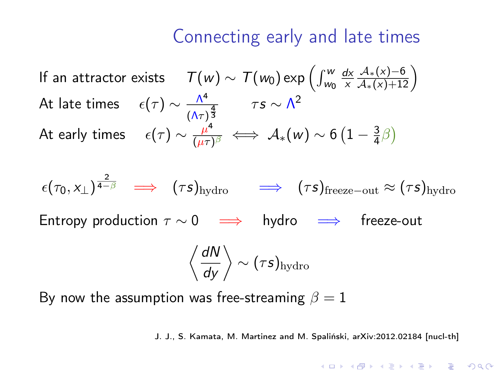If an attractor exists  $\quad \ \mathcal{T}(w) \sim \, \mathcal{T}(w_0) \exp \Big(\textstyle{\int_{w_0}^w}$ <u>dx</u> x  $\frac{\mathcal{A}_*(x)-6}{\mathcal{A}_*(x)+12}$ At late times  $\epsilon(\tau) \sim \frac{\Lambda^4}{\Lambda^4}$  $\frac{\Lambda^4}{(\Lambda\tau)^{\frac{4}{3}}}$   $\tau s \sim \Lambda^2$ At early times  $\epsilon(\tau) \sim \frac{\mu^4}{(\mu \tau)^2}$  $\frac{\mu^4}{(\mu\tau)^\beta} \iff \mathcal{A}_*(w) \sim 6\left(1 - \frac{3}{4}\right)$  $\frac{3}{4}\beta$ 

 $\epsilon(\tau_0, \mathsf{x}_\perp)^{\tfrac{2}{4-\beta}} \;\;\implies\; (\tau \mathsf{s})_{\text{hydro}} \quad \implies \; (\tau \mathsf{s})_{\text{freeze-out}} \approx (\tau \mathsf{s})_{\text{hydro}}$ 

Entropy production  $\tau \sim 0 \implies$  hydro  $\implies$  freeze-out

$$
\left\langle \frac{dN}{dy} \right\rangle \sim (\tau s)_{\text{hydro}}
$$

By now the assumption was free-streaming  $\beta = 1$ 

J. J., S. Kamata, M. Martinez and M. Spaliński, arXiv:2012.02184 [nucl-th]

**ALL AND A FAILEY AND A COLLECTION**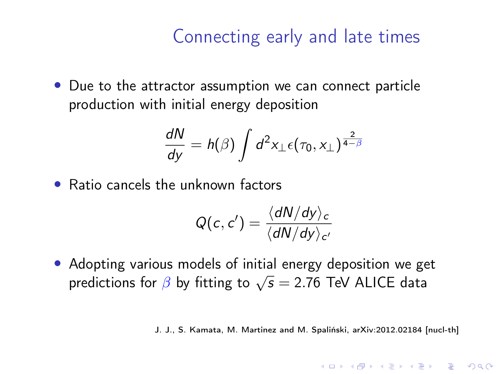• Due to the attractor assumption we can connect particle production with initial energy deposition

$$
\frac{dN}{dy} = h(\beta) \int d^2x_\perp \epsilon(\tau_0, x_\perp)^{\frac{2}{4-\beta}}
$$

• Ratio cancels the unknown factors

$$
Q(c, c') = \frac{\langle dN/dy \rangle_c}{\langle dN/dy \rangle_{c'}}
$$

• Adopting various models of initial energy deposition we get Adopting various models of find a energy deposition we get<br>predictions for  $\beta$  by fitting to  $\sqrt{s} = 2.76$  TeV ALICE data

J. J., S. Kamata, M. Martinez and M. Spaliński, arXiv:2012.02184 [nucl-th]

**KORKAR KERKER EL VOLO**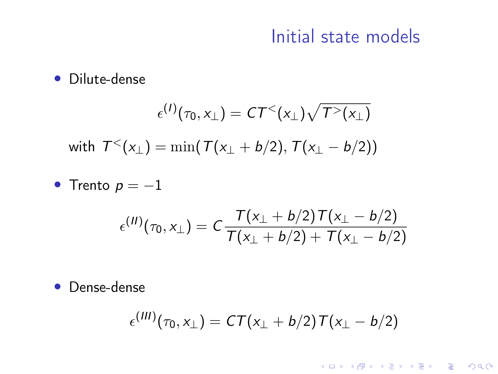#### Initial state models

K ロ X ( O X X B X X B X X B X X O X O X O

#### • Dilute-dense

$$
\epsilon^{(1)}(\tau_0, x_\perp) = CT^< (x_\perp) \sqrt{T^>(x_\perp)}
$$
  
with 
$$
T^< (x_\perp) = \min(T(x_\perp + b/2), T(x_\perp - b/2))
$$

• Trento  $p = -1$ 

$$
\epsilon^{(II)}(\tau_0, x_\perp) = C \frac{T(x_\perp + b/2) T(x_\perp - b/2)}{T(x_\perp + b/2) + T(x_\perp - b/2)}
$$

• Dense-dense

$$
\epsilon^{(III)}(\tau_0, x_\perp) = CT(x_\perp + b/2)T(x_\perp - b/2)
$$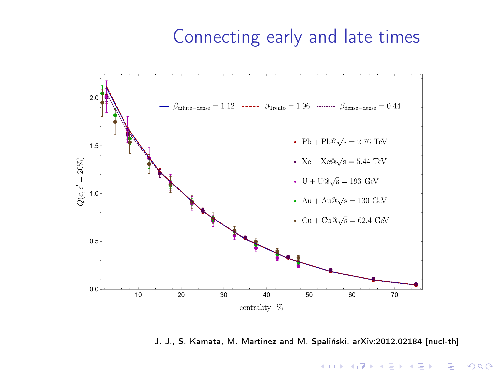

#### J. J., S. Kamata, M. Martinez and M. Spaliński, arXiv:2012.02184 [nucl-th]

 $\left\{ \begin{array}{ccc} 1 & 0 & 0 \\ 0 & 1 & 0 \end{array} \right.$  $\Rightarrow$  $2990$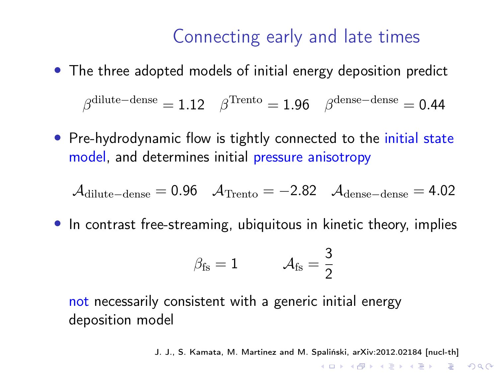• The three adopted models of initial energy deposition predict

 $\beta^{\rm dilute-dense}=1.12\quad \beta^{\rm Trento}=1.96\quad \beta^{\rm dense-dense}=0.44$ 

• Pre-hydrodynamic flow is tightly connected to the initial state model, and determines initial pressure anisotropy

$$
\mathcal{A}_{\text{dilute-dense}} = 0.96 \quad \mathcal{A}_{\text{Trento}} = -2.82 \quad \mathcal{A}_{\text{dense-dense}} = 4.02
$$

• In contrast free-streaming, ubiquitous in kinetic theory, implies

$$
\beta_{\rm fs} = 1 \qquad \quad \mathcal{A}_{\rm fs} = \frac{3}{2}
$$

not necessarily consistent with a generic initial energy deposition model

J. J., S. Kamata, M. Martinez and M. Spaliński, arXiv:2012.02184 [nucl-th]

**KORKA SERKER ORA**